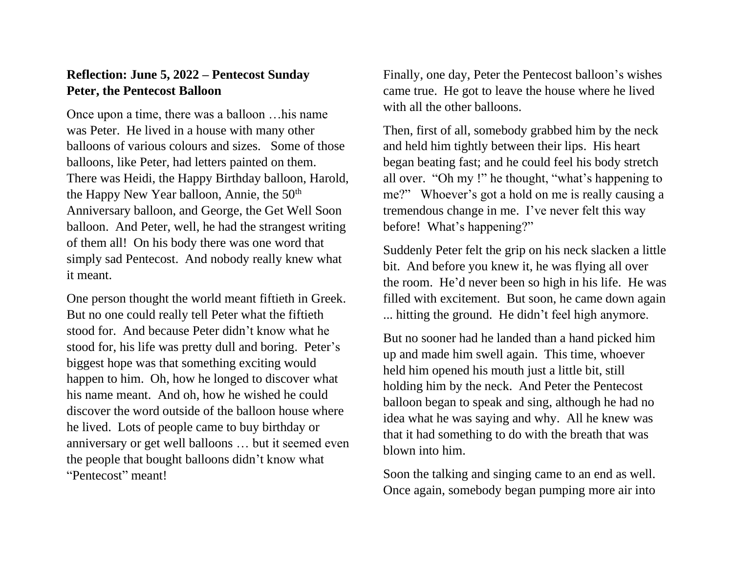## **Reflection: June 5, 2022 – Pentecost Sunday Peter, the Pentecost Balloon**

Once upon a time, there was a balloon …his name was Peter. He lived in a house with many other balloons of various colours and sizes. Some of those balloons, like Peter, had letters painted on them. There was Heidi, the Happy Birthday balloon, Harold, the Happy New Year balloon, Annie, the  $50<sup>th</sup>$ Anniversary balloon, and George, the Get Well Soon balloon. And Peter, well, he had the strangest writing of them all! On his body there was one word that simply sad Pentecost. And nobody really knew what it meant.

One person thought the world meant fiftieth in Greek. But no one could really tell Peter what the fiftieth stood for. And because Peter didn't know what he stood for, his life was pretty dull and boring. Peter's biggest hope was that something exciting would happen to him. Oh, how he longed to discover what his name meant. And oh, how he wished he could discover the word outside of the balloon house where he lived. Lots of people came to buy birthday or anniversary or get well balloons … but it seemed even the people that bought balloons didn't know what "Pentecost" meant!

Finally, one day, Peter the Pentecost balloon's wishes came true. He got to leave the house where he lived with all the other balloons.

Then, first of all, somebody grabbed him by the neck and held him tightly between their lips. His heart began beating fast; and he could feel his body stretch all over. "Oh my !" he thought, "what's happening to me?" Whoever's got a hold on me is really causing a tremendous change in me. I've never felt this way before! What's happening?"

Suddenly Peter felt the grip on his neck slacken a little bit. And before you knew it, he was flying all over the room. He'd never been so high in his life. He was filled with excitement. But soon, he came down again ... hitting the ground. He didn't feel high anymore.

But no sooner had he landed than a hand picked him up and made him swell again. This time, whoever held him opened his mouth just a little bit, still holding him by the neck. And Peter the Pentecost balloon began to speak and sing, although he had no idea what he was saying and why. All he knew was that it had something to do with the breath that was blown into him.

Soon the talking and singing came to an end as well. Once again, somebody began pumping more air into